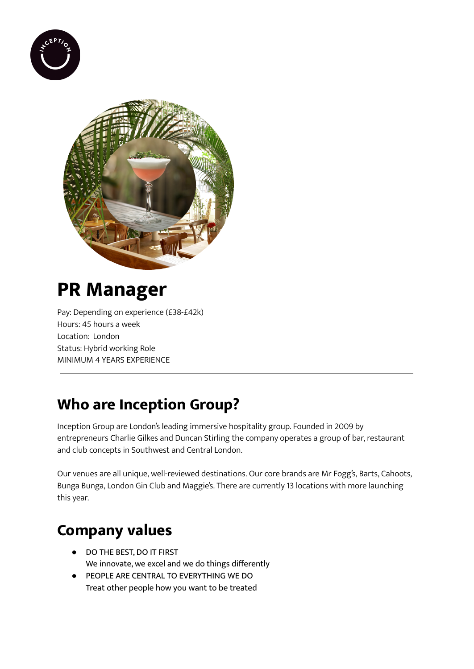



# **PR Manager**

Pay: Depending on experience (£38-£42k) Hours: 45 hours a week Location: London Status: Hybrid working Role MINIMUM 4 YEARS EXPERIENCE

### **Who are Inception Group?**

Inception Group are London's leading immersive hospitality group. Founded in 2009 by entrepreneurs Charlie Gilkes and Duncan Stirling the company operates a group of bar, restaurant and club concepts in Southwest and Central London.

Our venues are all unique, well-reviewed destinations. Our core brands are Mr Fogg's, Barts, Cahoots, Bunga Bunga, London Gin Club and Maggie's. There are currently 13 locations with more launching this year.

# **Company values**

- DO THE BEST, DO IT FIRST We innovate, we excel and we do things differently
- PEOPLE ARE CENTRAL TO EVERYTHING WE DO Treat other people how you want to be treated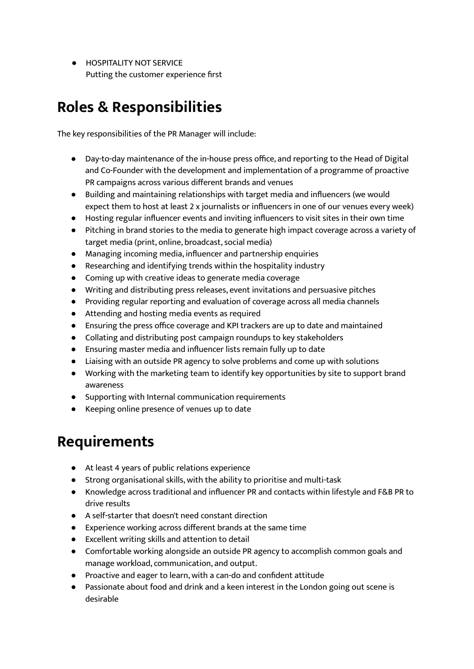**• HOSPITALITY NOT SERVICE** Putting the customer experience first

### **Roles & Responsibilities**

The key responsibilities of the PR Manager will include:

- Day-to-day maintenance of the in-house press office, and reporting to the Head of Digital and Co-Founder with the development and implementation of a programme of proactive PR campaigns across various different brands and venues
- Building and maintaining relationships with target media and influencers (we would expect them to host at least 2 x journalists or influencers in one of our venues every week)
- Hosting regular influencer events and inviting influencers to visit sites in their own time
- Pitching in brand stories to the media to generate high impact coverage across a variety of target media (print, online, broadcast, social media)
- Managing incoming media, influencer and partnership enquiries
- Researching and identifying trends within the hospitality industry
- Coming up with creative ideas to generate media coverage
- Writing and distributing press releases, event invitations and persuasive pitches
- Providing regular reporting and evaluation of coverage across all media channels
- Attending and hosting media events as required
- Ensuring the press office coverage and KPI trackers are up to date and maintained
- Collating and distributing post campaign roundups to key stakeholders
- Ensuring master media and influencer lists remain fully up to date
- Liaising with an outside PR agency to solve problems and come up with solutions
- Working with the marketing team to identify key opportunities by site to support brand awareness
- Supporting with Internal communication requirements
- Keeping online presence of venues up to date

#### **Requirements**

- At least 4 years of public relations experience
- Strong organisational skills, with the ability to prioritise and multi-task
- Knowledge across traditional and influencer PR and contacts within lifestyle and F&B PR to drive results
- A self-starter that doesn't need constant direction
- Experience working across different brands at the same time
- Excellent writing skills and attention to detail
- Comfortable working alongside an outside PR agency to accomplish common goals and manage workload, communication, and output.
- Proactive and eager to learn, with a can-do and confident attitude
- Passionate about food and drink and a keen interest in the London going out scene is desirable